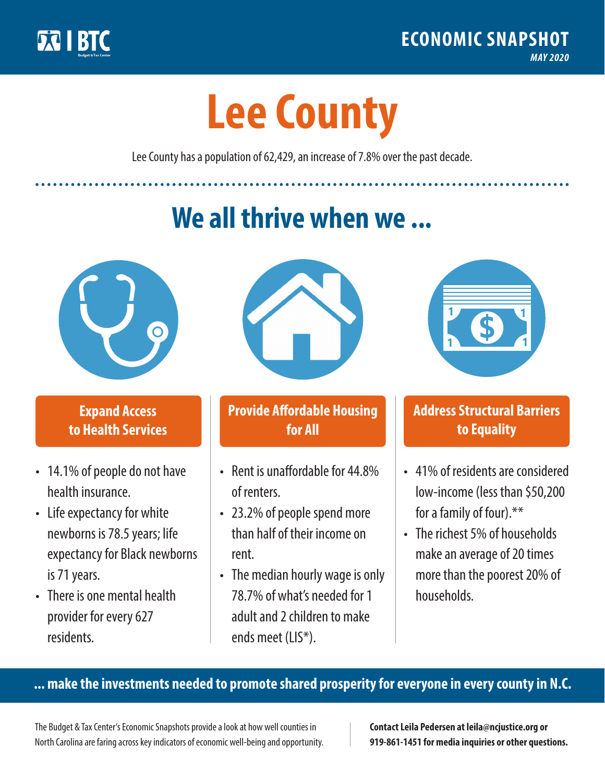

**1**

# **Lee County**

Lee County has a population of 62,429, an increase of 7.8% over the past decade.

# **We all thrive when we ...**



**\$ <sup>1</sup>**

**\$ <sup>1</sup>**

#### **Expand Access to Health Services**

- 14.1% of people do not have health insurance.
- Life expectancy for white newborns is 78.5years; life expectancy for Black newborns is 71 years.
- There is one mental health provider for every 627 residents.



## **Provide Affordable Housing for All**

- Rent is unaffordable for 44.8% of renters.
- 23.2% of people spend more than half of their income on rent.
- The median hourly wage is only 78.7% of what's needed for 1 adult and 2 children to make ends meet (LIS\*).



## **Address Structural Barriers to Equality**

- 41% of residents are considered low-income (less than \$50,200 for a family of four).\*\*
- The richest 5% of households make an average of 20 times more than the poorest 20% of households.

#### **... make the investments needed to promote shared prosperity for everyone in every county in N.C.**

The Budget & Tax Center's Economic Snapshots provide a look at how well counties in North Carolina are faring across key indicators of economic well-being and opportunity.